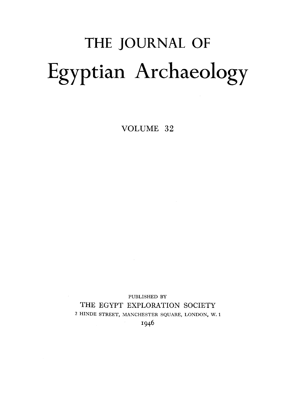## THE JOURNAL OF Egyptian Archaeology

VOLUME 32

PUBLISHED BY THE EGYPT EXPLORATION SOCIETY 2 HINDE STREET, MANCHESTER SQUARE, LONDON, W. **1** 

I946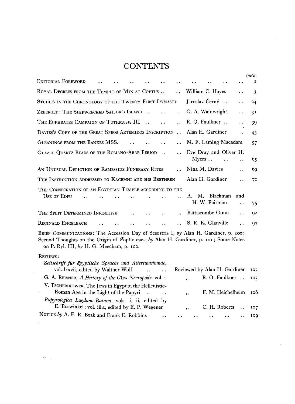## **CONTENTS**

 $\ddot{\phantom{0}}$ 

 $\bar{z}$ 

|                                                                                                                                                                                                                            | <b>PAGE</b> |
|----------------------------------------------------------------------------------------------------------------------------------------------------------------------------------------------------------------------------|-------------|
| EDITORIAL FOREWORD                                                                                                                                                                                                         | 1           |
| ROYAL DECREES FROM THE TEMPLE OF MIN AT COPTUS<br>William C. Hayes                                                                                                                                                         | 3           |
| Jaroslav Černý.<br>STUDIES IN THE CHRONOLOGY OF THE TWENTY-FIRST DYNASTY                                                                                                                                                   | 24          |
| ZEBERGED: THE SHIPWRECKED SAILOR'S ISLAND<br>G. A. Wainwright                                                                                                                                                              | 31          |
| R. O. Faulkner<br>THE EUPHRATES CAMPAIGN OF TUTHMOSIS III<br>$\ddot{\phantom{a}}$                                                                                                                                          | 39          |
| Alan H. Gardiner<br>DAVIES'S COPY OF THE GREAT SPEOS ARTEMIDOS INSCRIPTION<br>. .                                                                                                                                          | 43          |
| M. F. Laming Macadam<br><b>GLEANINGS FROM THE BANKES MSS.</b>                                                                                                                                                              | 57          |
| Eve Dray and Oliver H.<br><b>GLAZED QUARTZ BEADS OF THE ROMANO-ARAB PERIOD</b><br>$\ddot{\phantom{a}}$<br>$Myers$                                                                                                          | 65          |
| Nina M. Davies<br>AN UNUSUAL DEPICTION OF RAMESSIDE FUNERARY RITES                                                                                                                                                         | 69          |
| THE INSTRUCTION ADDRESSED TO KAGEMNI AND HIS BRETHREN<br>Alan H. Gardiner                                                                                                                                                  | 71          |
| THE CONSECRATION OF AN EGYPTIAN TEMPLE ACCORDING TO THE<br><b>USE OF EDFU</b><br>М.<br>Blackman<br>A.<br>and<br>H. W. Fairman                                                                                              | 75          |
| Battiscombe Gunn<br>THE SPLIT DETERMINED INFINITIVE                                                                                                                                                                        | 92          |
| S. R. K. Glanville<br>REGINALD ENGELBACH                                                                                                                                                                                   | 97          |
| BRIEF COMMUNICATIONS: The Accession Day of Sesostris I, by Alan H. Gardiner, p. 100;<br>Second Thoughts on the Origin of Coptic epe-, by Alan H. Gardiner, p. 101; Some Notes<br>on P. Ryl. III, by H. G. Meecham, p. 102. |             |
| REVIEWS:                                                                                                                                                                                                                   |             |
| Zeitschrift für ägyptische Sprache und Altertumskunde,<br>vol. lxxvii, edited by Walther Wolf<br>Reviewed by Alan H. Gardiner<br>. .                                                                                       | 103         |
| R. O. Faulkner<br>G. A. REISNER, A History of the Giza Necropolis, vol. i<br>, ,                                                                                                                                           | 105         |
| V. TSCHERIKOWER, The Jews in Egypt in the Hellenistic-<br>Roman Age in the Light of the Papyri<br>F. M. Heichelheim<br>, ,                                                                                                 | <b>100</b>  |
| Papyrologica Lugduno-Batava, vols. i, ii, edited by<br>E. Boswinkel; vol. iii a, edited by E. P. Wegener<br>C. H. Roberts<br>,                                                                                             | 107         |
| NOTICE by A. E. R. Boak and Frank E. Robbins                                                                                                                                                                               | 100         |

 $\overline{a}$ 

 $\sim$ 

 $\sim 20$   $^{-1}$